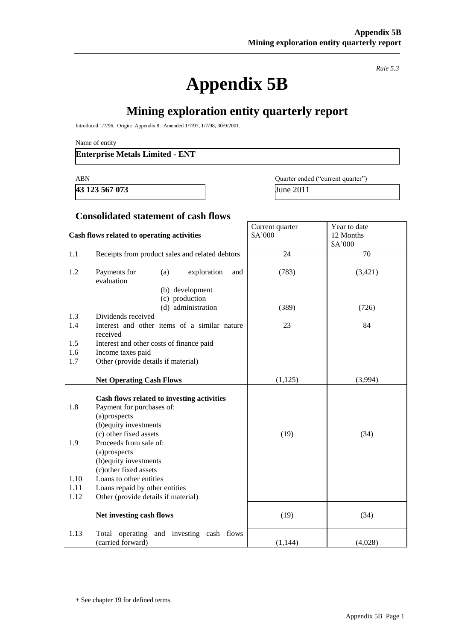# **Appendix 5B**

*Rule 5.3*

# **Mining exploration entity quarterly report**

Introduced 1/7/96. Origin: Appendix 8. Amended 1/7/97, 1/7/98, 30/9/2001.

Name of entity

#### **Enterprise Metals Limited - ENT**

**43 123 567 073** June 2011

ABN Quarter ended ("current quarter")

#### **Consolidated statement of cash flows**

#### **Cash flows related to operating activities** Current quarter \$A'000 Year to date 12 Months \$A'000 1.1 Receipts from product sales and related debtors 24 70 1.2 Payments for (a) exploration and evaluation (b) development (c) production (d) administration (783) (389) (3,421) (726) 1.3 Dividends received 1.4 Interest and other items of a similar nature received 23 84 1.5 Interest and other costs of finance paid 1.6 Income taxes paid 1.7 Other (provide details if material) **Net Operating Cash Flows** (1,125) (3,994) **Cash flows related to investing activities** 1.8 Payment for purchases of: (a)prospects (b)equity investments (c) other fixed assets (19)  $(34)$ 1.9 Proceeds from sale of: (a)prospects (b)equity investments (c)other fixed assets 1.10 Loans to other entities 1.11 Loans repaid by other entities 1.12 Other (provide details if material) **Net investing cash flows** (19) (34) 1.13 Total operating and investing cash flows (carried forward)  $(1,144)$   $(4,028)$

<sup>+</sup> See chapter 19 for defined terms.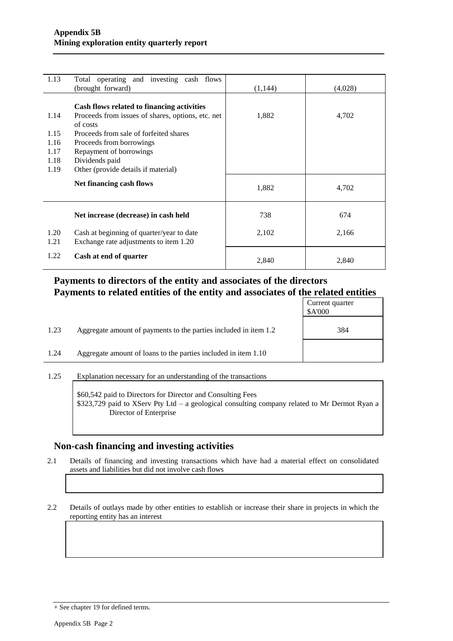| 1.13         | Total operating and investing cash flows<br>(brought forward)                       | (1,144) | (4,028) |
|--------------|-------------------------------------------------------------------------------------|---------|---------|
|              | Cash flows related to financing activities                                          |         |         |
| 1.14         | Proceeds from issues of shares, options, etc. net<br>of costs                       | 1,882   | 4,702   |
| 1.15         | Proceeds from sale of forfeited shares                                              |         |         |
| 1.16         | Proceeds from borrowings                                                            |         |         |
| 1.17         | Repayment of borrowings                                                             |         |         |
| 1.18         | Dividends paid                                                                      |         |         |
| 1.19         | Other (provide details if material)                                                 |         |         |
|              | Net financing cash flows                                                            | 1,882   | 4,702   |
|              | Net increase (decrease) in cash held                                                | 738     | 674     |
| 1.20<br>1.21 | Cash at beginning of quarter/year to date<br>Exchange rate adjustments to item 1.20 | 2,102   | 2,166   |
| 1.22         | Cash at end of quarter                                                              | 2,840   | 2,840   |

### **Payments to directors of the entity and associates of the directors Payments to related entities of the entity and associates of the related entities**

|      |                                                                  | Current quarter<br>\$A'000 |
|------|------------------------------------------------------------------|----------------------------|
| 1.23 | Aggregate amount of payments to the parties included in item 1.2 | 384                        |
| 1.24 | Aggregate amount of loans to the parties included in item 1.10   |                            |

1.25 Explanation necessary for an understanding of the transactions

\$60,542 paid to Directors for Director and Consulting Fees \$323,729 paid to XServ Pty Ltd – a geological consulting company related to Mr Dermot Ryan a Director of Enterprise

### **Non-cash financing and investing activities**

2.1 Details of financing and investing transactions which have had a material effect on consolidated assets and liabilities but did not involve cash flows

2.2 Details of outlays made by other entities to establish or increase their share in projects in which the reporting entity has an interest

<sup>+</sup> See chapter 19 for defined terms.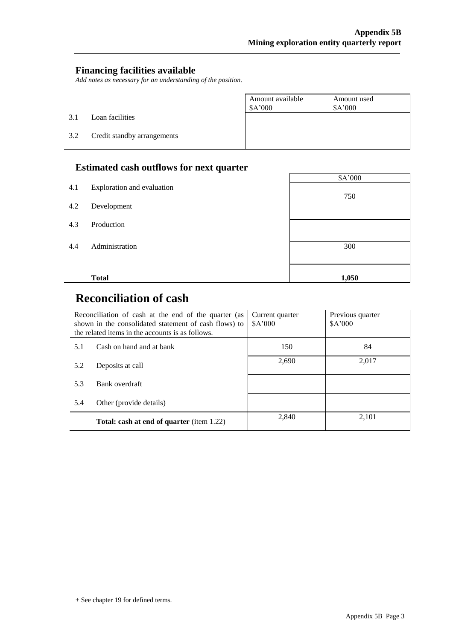#### **Financing facilities available**

*Add notes as necessary for an understanding of the position.*

|     |                             | Amount available<br>\$A'000 | Amount used<br>\$A'000 |
|-----|-----------------------------|-----------------------------|------------------------|
| 3.1 | Loan facilities             |                             |                        |
| 3.2 | Credit standby arrangements |                             |                        |

## **Estimated cash outflows for next quarter**

|     |                            | \$A'000 |
|-----|----------------------------|---------|
| 4.1 | Exploration and evaluation | 750     |
| 4.2 | Development                |         |
| 4.3 | Production                 |         |
| 4.4 | Administration             | 300     |
|     | <b>Total</b>               |         |
|     |                            | 1,050   |

# **Reconciliation of cash**

|     | Reconciliation of cash at the end of the quarter (as<br>shown in the consolidated statement of cash flows) to<br>the related items in the accounts is as follows. | Current quarter<br>\$A'000 | Previous quarter<br>\$A'000 |
|-----|-------------------------------------------------------------------------------------------------------------------------------------------------------------------|----------------------------|-----------------------------|
| 5.1 | Cash on hand and at bank                                                                                                                                          | 150                        | 84                          |
| 5.2 | Deposits at call                                                                                                                                                  | 2,690                      | 2,017                       |
| 5.3 | Bank overdraft                                                                                                                                                    |                            |                             |
| 5.4 | Other (provide details)                                                                                                                                           |                            |                             |
|     | <b>Total: cash at end of quarter</b> (item 1.22)                                                                                                                  | 2,840                      | 2,101                       |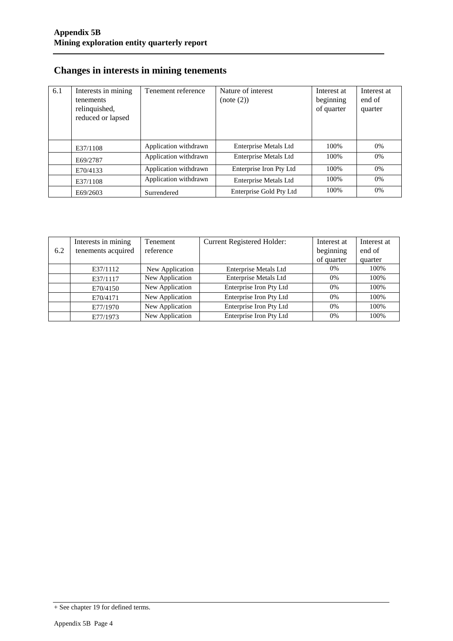### **Changes in interests in mining tenements**

| 6.1 | Interests in mining<br>tenements<br>relinquished,<br>reduced or lapsed | Tenement reference    | Nature of interest<br>(note (2)) | Interest at<br>beginning<br>of quarter | Interest at<br>end of<br>quarter |
|-----|------------------------------------------------------------------------|-----------------------|----------------------------------|----------------------------------------|----------------------------------|
|     | E37/1108                                                               | Application withdrawn | <b>Enterprise Metals Ltd</b>     | 100\%                                  | 0%                               |
|     | E69/2787                                                               | Application withdrawn | <b>Enterprise Metals Ltd</b>     | 100%                                   | 0%                               |
|     | E70/4133                                                               | Application withdrawn | Enterprise Iron Pty Ltd          | 100%                                   | 0%                               |
|     | E37/1108                                                               | Application withdrawn | Enterprise Metals Ltd            | 100%                                   | 0%                               |
|     | E69/2603                                                               | Surrendered           | Enterprise Gold Pty Ltd          | 100%                                   | 0%                               |

|     | Interests in mining | <b>Tenement</b> | Current Registered Holder:   | Interest at | Interest at |
|-----|---------------------|-----------------|------------------------------|-------------|-------------|
| 6.2 | tenements acquired  | reference       |                              | beginning   | end of      |
|     |                     |                 |                              | of quarter  | quarter     |
|     | E37/1112            | New Application | Enterprise Metals Ltd        | $0\%$       | 100%        |
|     | E37/1117            | New Application | <b>Enterprise Metals Ltd</b> | 0%          | 100%        |
|     | E70/4150            | New Application | Enterprise Iron Pty Ltd      | 0%          | 100%        |
|     | E70/4171            | New Application | Enterprise Iron Pty Ltd      | 0%          | 100%        |
|     | E77/1970            | New Application | Enterprise Iron Pty Ltd      | 0%          | 100%        |
|     | E77/1973            | New Application | Enterprise Iron Pty Ltd      | 0%          | 100%        |

<sup>+</sup> See chapter 19 for defined terms.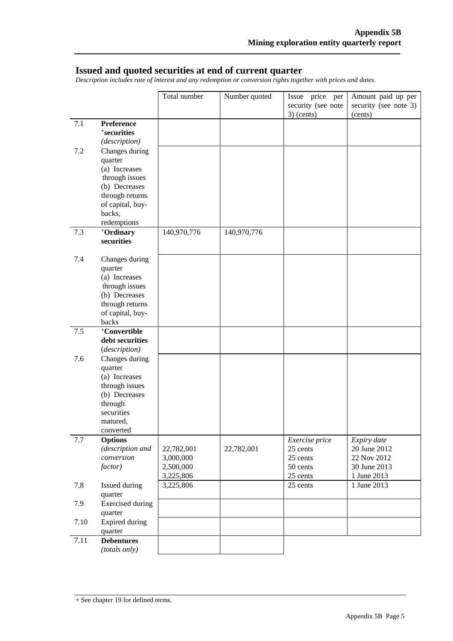#### **Issued and quoted securities at end of current quarter**

*Description includes rate of interest and any redemption or conversion rights together with prices and dates.*

|         |                            | Total number           | Number quoted | Issue price per                    | Amount paid up per               |
|---------|----------------------------|------------------------|---------------|------------------------------------|----------------------------------|
|         |                            |                        |               | security (see note<br>$3)$ (cents) | security (see note 3)<br>(cents) |
| 7.1     | Preference                 |                        |               |                                    |                                  |
|         | +securities                |                        |               |                                    |                                  |
|         | (description)              |                        |               |                                    |                                  |
| 7.2     | Changes during             |                        |               |                                    |                                  |
|         | quarter                    |                        |               |                                    |                                  |
|         | (a) Increases              |                        |               |                                    |                                  |
|         | through issues             |                        |               |                                    |                                  |
|         | (b) Decreases              |                        |               |                                    |                                  |
|         | through returns            |                        |               |                                    |                                  |
|         | of capital, buy-<br>backs, |                        |               |                                    |                                  |
|         | redemptions                |                        |               |                                    |                                  |
| 7.3     | +Ordinary                  | 140,970,776            | 140,970,776   |                                    |                                  |
|         | securities                 |                        |               |                                    |                                  |
|         |                            |                        |               |                                    |                                  |
| 7.4     | Changes during             |                        |               |                                    |                                  |
|         | quarter<br>(a) Increases   |                        |               |                                    |                                  |
|         | through issues             |                        |               |                                    |                                  |
|         | (b) Decreases              |                        |               |                                    |                                  |
|         | through returns            |                        |               |                                    |                                  |
|         | of capital, buy-           |                        |               |                                    |                                  |
|         | backs                      |                        |               |                                    |                                  |
| 7.5     | +Convertible               |                        |               |                                    |                                  |
|         | debt securities            |                        |               |                                    |                                  |
|         | (description)              |                        |               |                                    |                                  |
| 7.6     | Changes during             |                        |               |                                    |                                  |
|         | quarter<br>(a) Increases   |                        |               |                                    |                                  |
|         | through issues             |                        |               |                                    |                                  |
|         | (b) Decreases              |                        |               |                                    |                                  |
|         | through                    |                        |               |                                    |                                  |
|         | securities                 |                        |               |                                    |                                  |
|         | matured,                   |                        |               |                                    |                                  |
|         | converted                  |                        |               |                                    |                                  |
| $7.7\,$ | <b>Options</b>             |                        |               | Exercise price                     | Expiry date                      |
|         | (description and           | 22,782,001             | 22,782,001    | 25 cents                           | 20 June 2012                     |
|         | conversion                 | 3,000,000              |               | 25 cents                           | 22 Nov 2012                      |
|         | factor)                    | 2,500,000              |               | 50 cents                           | 30 June 2013                     |
|         |                            | 3,225,806<br>3,225,806 |               | 25 cents                           | 1 June 2013<br>1 June 2013       |
| 7.8     | Issued during<br>quarter   |                        |               | 25 cents                           |                                  |
| 7.9     | <b>Exercised</b> during    |                        |               |                                    |                                  |
|         | quarter                    |                        |               |                                    |                                  |
| 7.10    | Expired during             |                        |               |                                    |                                  |
|         | quarter                    |                        |               |                                    |                                  |
| 7.11    | <b>Debentures</b>          |                        |               |                                    |                                  |
|         | (totals only)              |                        |               |                                    |                                  |

<sup>+</sup> See chapter 19 for defined terms.